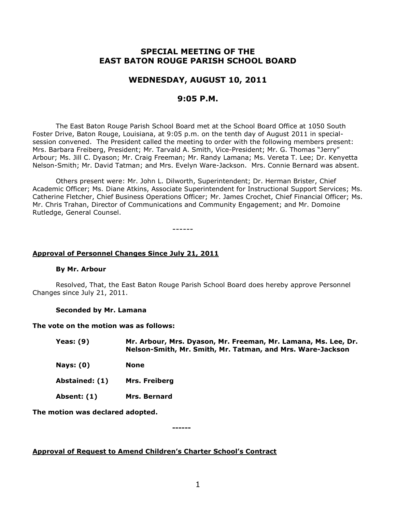# **SPECIAL MEETING OF THE EAST BATON ROUGE PARISH SCHOOL BOARD**

# **WEDNESDAY, AUGUST 10, 2011**

# **9:05 P.M.**

The East Baton Rouge Parish School Board met at the School Board Office at 1050 South Foster Drive, Baton Rouge, Louisiana, at 9:05 p.m. on the tenth day of August 2011 in specialsession convened. The President called the meeting to order with the following members present: Mrs. Barbara Freiberg, President; Mr. Tarvald A. Smith, Vice-President; Mr. G. Thomas "Jerry" Arbour; Ms. Jill C. Dyason; Mr. Craig Freeman; Mr. Randy Lamana; Ms. Vereta T. Lee; Dr. Kenyetta Nelson-Smith; Mr. David Tatman; and Mrs. Evelyn Ware-Jackson. Mrs. Connie Bernard was absent.

Others present were: Mr. John L. Dilworth, Superintendent; Dr. Herman Brister, Chief Academic Officer; Ms. Diane Atkins, Associate Superintendent for Instructional Support Services; Ms. Catherine Fletcher, Chief Business Operations Officer; Mr. James Crochet, Chief Financial Officer; Ms. Mr. Chris Trahan, Director of Communications and Community Engagement; and Mr. Domoine Rutledge, General Counsel.

------

## **Approval of Personnel Changes Since July 21, 2011**

#### **By Mr. Arbour**

Resolved, That, the East Baton Rouge Parish School Board does hereby approve Personnel Changes since July 21, 2011.

### **Seconded by Mr. Lamana**

#### **The vote on the motion was as follows:**

**Yeas: (9) Mr. Arbour, Mrs. Dyason, Mr. Freeman, Mr. Lamana, Ms. Lee, Dr. Nelson-Smith, Mr. Smith, Mr. Tatman, and Mrs. Ware-Jackson**

- **Nays: (0) None**
- **Abstained: (1) Mrs. Freiberg**
- **Absent: (1) Mrs. Bernard**

**The motion was declared adopted.**

**------**

# **Approval of Request to Amend Children's Charter School's Contract**